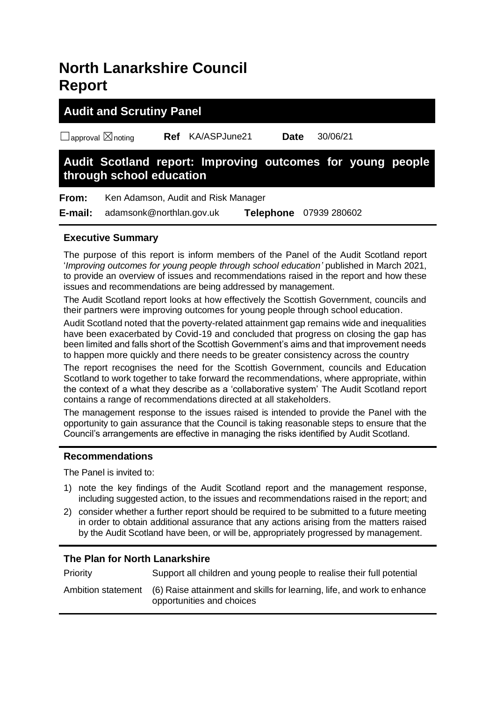# **North Lanarkshire Council Report**

## **Audit and Scrutiny Panel**

☐approval ☒noting **Ref** KA/ASPJune21 **Date** 30/06/21

## **Audit Scotland report: Improving outcomes for young people through school education**

**From:** Ken Adamson, Audit and Risk Manager

**E-mail:** adamsonk@northlan.gov.uk **Telephone** 07939 280602

## **Executive Summary**

The purpose of this report is inform members of the Panel of the Audit Scotland report '*Improving outcomes for young people through school education'* published in March 2021, to provide an overview of issues and recommendations raised in the report and how these issues and recommendations are being addressed by management.

The Audit Scotland report looks at how effectively the Scottish Government, councils and their partners were improving outcomes for young people through school education.

Audit Scotland noted that the poverty-related attainment gap remains wide and inequalities have been exacerbated by Covid-19 and concluded that progress on closing the gap has been limited and falls short of the Scottish Government's aims and that improvement needs to happen more quickly and there needs to be greater consistency across the country

The report recognises the need for the Scottish Government, councils and Education Scotland to work together to take forward the recommendations, where appropriate, within the context of a what they describe as a 'collaborative system' The Audit Scotland report contains a range of recommendations directed at all stakeholders.

The management response to the issues raised is intended to provide the Panel with the opportunity to gain assurance that the Council is taking reasonable steps to ensure that the Council's arrangements are effective in managing the risks identified by Audit Scotland.

### **Recommendations**

The Panel is invited to:

- 1) note the key findings of the Audit Scotland report and the management response, including suggested action, to the issues and recommendations raised in the report; and
- 2) consider whether a further report should be required to be submitted to a future meeting in order to obtain additional assurance that any actions arising from the matters raised by the Audit Scotland have been, or will be, appropriately progressed by management.

### **The Plan for North Lanarkshire**

Priority Support all children and young people to realise their full potential Ambition statement (6) Raise attainment and skills for learning, life, and work to enhance opportunities and choices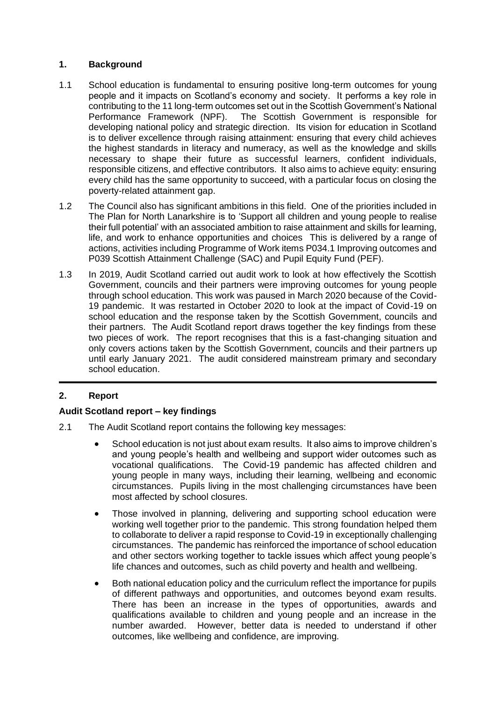#### **1. Background**

- 1.1 School education is fundamental to ensuring positive long-term outcomes for young people and it impacts on Scotland's economy and society. It performs a key role in contributing to the 11 long-term outcomes set out in the Scottish Government's National Performance Framework (NPF). The Scottish Government is responsible for developing national policy and strategic direction. Its vision for education in Scotland is to deliver excellence through raising attainment: ensuring that every child achieves the highest standards in literacy and numeracy, as well as the knowledge and skills necessary to shape their future as successful learners, confident individuals, responsible citizens, and effective contributors. It also aims to achieve equity: ensuring every child has the same opportunity to succeed, with a particular focus on closing the poverty-related attainment gap.
- 1.2 The Council also has significant ambitions in this field. One of the priorities included in The Plan for North Lanarkshire is to 'Support all children and young people to realise their full potential' with an associated ambition to raise attainment and skills for learning, life, and work to enhance opportunities and choices This is delivered by a range of actions, activities including Programme of Work items P034.1 Improving outcomes and P039 Scottish Attainment Challenge (SAC) and Pupil Equity Fund (PEF).
- 1.3 In 2019, Audit Scotland carried out audit work to look at how effectively the Scottish Government, councils and their partners were improving outcomes for young people through school education. This work was paused in March 2020 because of the Covid-19 pandemic. It was restarted in October 2020 to look at the impact of Covid-19 on school education and the response taken by the Scottish Government, councils and their partners. The Audit Scotland report draws together the key findings from these two pieces of work. The report recognises that this is a fast-changing situation and only covers actions taken by the Scottish Government, councils and their partners up until early January 2021. The audit considered mainstream primary and secondary school education.

### **2. Report**

### **Audit Scotland report – key findings**

- 2.1 The Audit Scotland report contains the following key messages:
	- School education is not just about exam results. It also aims to improve children's and young people's health and wellbeing and support wider outcomes such as vocational qualifications. The Covid-19 pandemic has affected children and young people in many ways, including their learning, wellbeing and economic circumstances. Pupils living in the most challenging circumstances have been most affected by school closures.
	- Those involved in planning, delivering and supporting school education were working well together prior to the pandemic. This strong foundation helped them to collaborate to deliver a rapid response to Covid-19 in exceptionally challenging circumstances. The pandemic has reinforced the importance of school education and other sectors working together to tackle issues which affect young people's life chances and outcomes, such as child poverty and health and wellbeing.
	- Both national education policy and the curriculum reflect the importance for pupils of different pathways and opportunities, and outcomes beyond exam results. There has been an increase in the types of opportunities, awards and qualifications available to children and young people and an increase in the number awarded. However, better data is needed to understand if other outcomes, like wellbeing and confidence, are improving.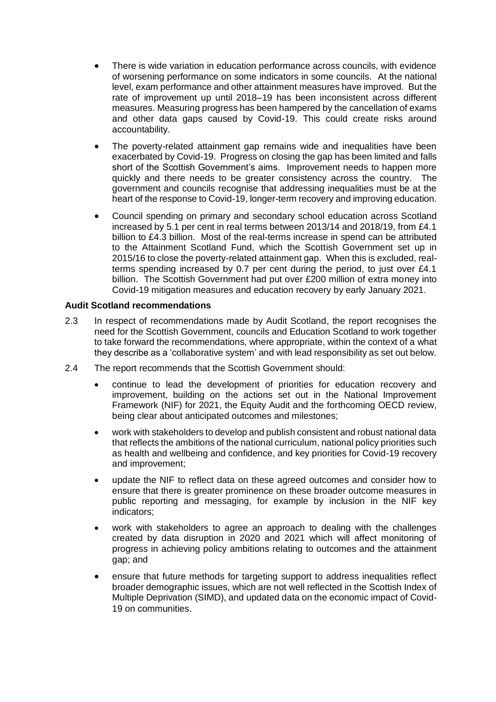- There is wide variation in education performance across councils, with evidence of worsening performance on some indicators in some councils. At the national level, exam performance and other attainment measures have improved. But the rate of improvement up until 2018–19 has been inconsistent across different measures. Measuring progress has been hampered by the cancellation of exams and other data gaps caused by Covid-19. This could create risks around accountability.
- The poverty-related attainment gap remains wide and inequalities have been exacerbated by Covid-19. Progress on closing the gap has been limited and falls short of the Scottish Government's aims. Improvement needs to happen more quickly and there needs to be greater consistency across the country. The government and councils recognise that addressing inequalities must be at the heart of the response to Covid-19, longer-term recovery and improving education.
- Council spending on primary and secondary school education across Scotland increased by 5.1 per cent in real terms between 2013/14 and 2018/19, from £4.1 billion to £4.3 billion. Most of the real-terms increase in spend can be attributed to the Attainment Scotland Fund, which the Scottish Government set up in 2015/16 to close the poverty-related attainment gap. When this is excluded, realterms spending increased by 0.7 per cent during the period, to just over £4.1 billion. The Scottish Government had put over £200 million of extra money into Covid-19 mitigation measures and education recovery by early January 2021.

#### **Audit Scotland recommendations**

- 2.3 In respect of recommendations made by Audit Scotland, the report recognises the need for the Scottish Government, councils and Education Scotland to work together to take forward the recommendations, where appropriate, within the context of a what they describe as a 'collaborative system' and with lead responsibility as set out below.
- 2.4 The report recommends that the Scottish Government should:
	- continue to lead the development of priorities for education recovery and improvement, building on the actions set out in the National Improvement Framework (NIF) for 2021, the Equity Audit and the forthcoming OECD review, being clear about anticipated outcomes and milestones;
	- work with stakeholders to develop and publish consistent and robust national data that reflects the ambitions of the national curriculum, national policy priorities such as health and wellbeing and confidence, and key priorities for Covid-19 recovery and improvement;
	- update the NIF to reflect data on these agreed outcomes and consider how to ensure that there is greater prominence on these broader outcome measures in public reporting and messaging, for example by inclusion in the NIF key indicators;
	- work with stakeholders to agree an approach to dealing with the challenges created by data disruption in 2020 and 2021 which will affect monitoring of progress in achieving policy ambitions relating to outcomes and the attainment gap; and
	- ensure that future methods for targeting support to address inequalities reflect broader demographic issues, which are not well reflected in the Scottish Index of Multiple Deprivation (SIMD), and updated data on the economic impact of Covid-19 on communities.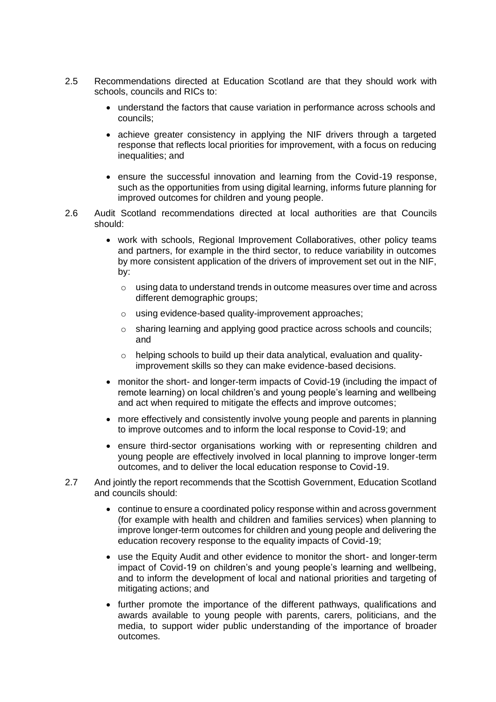- 2.5 Recommendations directed at Education Scotland are that they should work with schools, councils and RICs to:
	- understand the factors that cause variation in performance across schools and councils;
	- achieve greater consistency in applying the NIF drivers through a targeted response that reflects local priorities for improvement, with a focus on reducing inequalities; and
	- ensure the successful innovation and learning from the Covid-19 response, such as the opportunities from using digital learning, informs future planning for improved outcomes for children and young people.
- 2.6 Audit Scotland recommendations directed at local authorities are that Councils should:
	- work with schools, Regional Improvement Collaboratives, other policy teams and partners, for example in the third sector, to reduce variability in outcomes by more consistent application of the drivers of improvement set out in the NIF, by:
		- $\circ$  using data to understand trends in outcome measures over time and across different demographic groups;
		- o using evidence-based quality-improvement approaches;
		- o sharing learning and applying good practice across schools and councils; and
		- o helping schools to build up their data analytical, evaluation and qualityimprovement skills so they can make evidence-based decisions.
	- monitor the short- and longer-term impacts of Covid-19 (including the impact of remote learning) on local children's and young people's learning and wellbeing and act when required to mitigate the effects and improve outcomes;
	- more effectively and consistently involve young people and parents in planning to improve outcomes and to inform the local response to Covid-19; and
	- ensure third-sector organisations working with or representing children and young people are effectively involved in local planning to improve longer-term outcomes, and to deliver the local education response to Covid-19.
- 2.7 And jointly the report recommends that the Scottish Government, Education Scotland and councils should:
	- continue to ensure a coordinated policy response within and across government (for example with health and children and families services) when planning to improve longer-term outcomes for children and young people and delivering the education recovery response to the equality impacts of Covid-19;
	- use the Equity Audit and other evidence to monitor the short- and longer-term impact of Covid-19 on children's and young people's learning and wellbeing, and to inform the development of local and national priorities and targeting of mitigating actions; and
	- further promote the importance of the different pathways, qualifications and awards available to young people with parents, carers, politicians, and the media, to support wider public understanding of the importance of broader outcomes.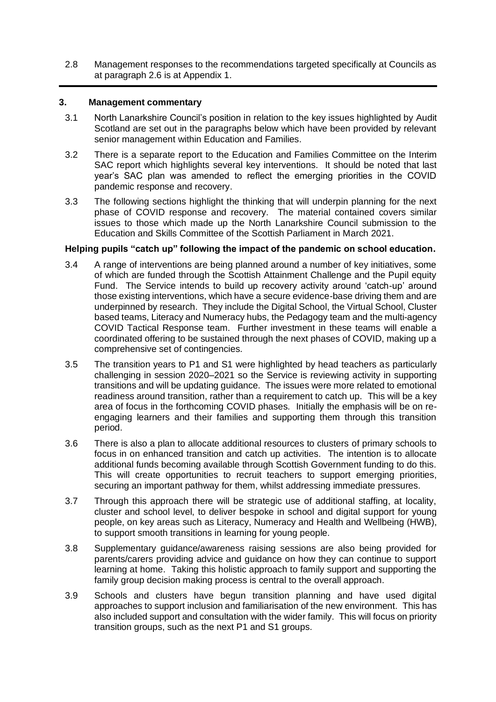2.8 Management responses to the recommendations targeted specifically at Councils as at paragraph 2.6 is at Appendix 1.

#### **3. Management commentary**

- 3.1 North Lanarkshire Council's position in relation to the key issues highlighted by Audit Scotland are set out in the paragraphs below which have been provided by relevant senior management within Education and Families.
- 3.2 There is a separate report to the Education and Families Committee on the Interim SAC report which highlights several key interventions. It should be noted that last year's SAC plan was amended to reflect the emerging priorities in the COVID pandemic response and recovery.
- 3.3 The following sections highlight the thinking that will underpin planning for the next phase of COVID response and recovery. The material contained covers similar issues to those which made up the North Lanarkshire Council submission to the Education and Skills Committee of the Scottish Parliament in March 2021.

#### **Helping pupils "catch up" following the impact of the pandemic on school education.**

- 3.4 A range of interventions are being planned around a number of key initiatives, some of which are funded through the Scottish Attainment Challenge and the Pupil equity Fund. The Service intends to build up recovery activity around 'catch-up' around those existing interventions, which have a secure evidence-base driving them and are underpinned by research. They include the Digital School, the Virtual School, Cluster based teams, Literacy and Numeracy hubs, the Pedagogy team and the multi-agency COVID Tactical Response team. Further investment in these teams will enable a coordinated offering to be sustained through the next phases of COVID, making up a comprehensive set of contingencies.
- 3.5 The transition years to P1 and S1 were highlighted by head teachers as particularly challenging in session 2020–2021 so the Service is reviewing activity in supporting transitions and will be updating guidance. The issues were more related to emotional readiness around transition, rather than a requirement to catch up. This will be a key area of focus in the forthcoming COVID phases. Initially the emphasis will be on reengaging learners and their families and supporting them through this transition period.
- 3.6 There is also a plan to allocate additional resources to clusters of primary schools to focus in on enhanced transition and catch up activities. The intention is to allocate additional funds becoming available through Scottish Government funding to do this. This will create opportunities to recruit teachers to support emerging priorities, securing an important pathway for them, whilst addressing immediate pressures.
- 3.7 Through this approach there will be strategic use of additional staffing, at locality, cluster and school level, to deliver bespoke in school and digital support for young people, on key areas such as Literacy, Numeracy and Health and Wellbeing (HWB), to support smooth transitions in learning for young people.
- 3.8 Supplementary guidance/awareness raising sessions are also being provided for parents/carers providing advice and guidance on how they can continue to support learning at home. Taking this holistic approach to family support and supporting the family group decision making process is central to the overall approach.
- 3.9 Schools and clusters have begun transition planning and have used digital approaches to support inclusion and familiarisation of the new environment. This has also included support and consultation with the wider family. This will focus on priority transition groups, such as the next P1 and S1 groups.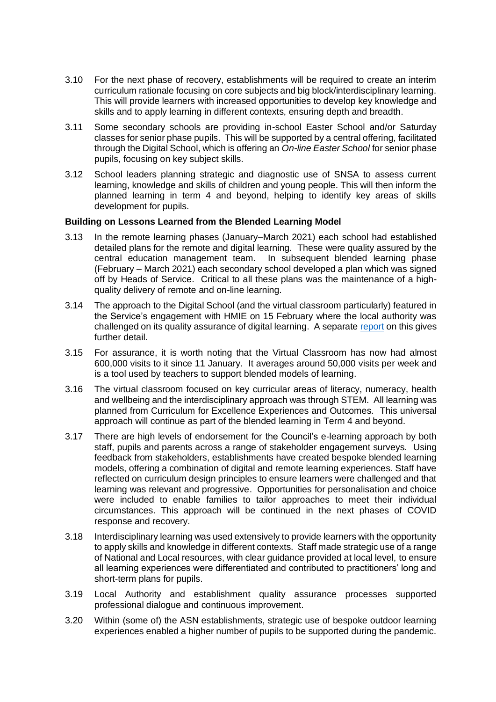- 3.10 For the next phase of recovery, establishments will be required to create an interim curriculum rationale focusing on core subjects and big block/interdisciplinary learning. This will provide learners with increased opportunities to develop key knowledge and skills and to apply learning in different contexts, ensuring depth and breadth.
- 3.11 Some secondary schools are providing in-school Easter School and/or Saturday classes for senior phase pupils. This will be supported by a central offering, facilitated through the Digital School, which is offering an *On-line Easter School* for senior phase pupils, focusing on key subject skills.
- 3.12 School leaders planning strategic and diagnostic use of SNSA to assess current learning, knowledge and skills of children and young people. This will then inform the planned learning in term 4 and beyond, helping to identify key areas of skills development for pupils.

#### **Building on Lessons Learned from the Blended Learning Model**

- 3.13 In the remote learning phases (January–March 2021) each school had established detailed plans for the remote and digital learning. These were quality assured by the central education management team. In subsequent blended learning phase (February – March 2021) each secondary school developed a plan which was signed off by Heads of Service. Critical to all these plans was the maintenance of a highquality delivery of remote and on-line learning.
- 3.14 The approach to the Digital School (and the virtual classroom particularly) featured in the Service's engagement with HMIE on 15 February where the local authority was challenged on its quality assurance of digital learning. A separate [report](https://education.gov.scot/media/fiae2vgn/national-overview-of-practice-in-remote-learning-7-local-authority-approaches-to-assuring-the-quality-of-remote-learning.pdf) on this gives further detail.
- 3.15 For assurance, it is worth noting that the Virtual Classroom has now had almost 600,000 visits to it since 11 January. It averages around 50,000 visits per week and is a tool used by teachers to support blended models of learning.
- 3.16 The virtual classroom focused on key curricular areas of literacy, numeracy, health and wellbeing and the interdisciplinary approach was through STEM. All learning was planned from Curriculum for Excellence Experiences and Outcomes. This universal approach will continue as part of the blended learning in Term 4 and beyond.
- 3.17 There are high levels of endorsement for the Council's e-learning approach by both staff, pupils and parents across a range of stakeholder engagement surveys. Using feedback from stakeholders, establishments have created bespoke blended learning models, offering a combination of digital and remote learning experiences. Staff have reflected on curriculum design principles to ensure learners were challenged and that learning was relevant and progressive. Opportunities for personalisation and choice were included to enable families to tailor approaches to meet their individual circumstances. This approach will be continued in the next phases of COVID response and recovery.
- 3.18 Interdisciplinary learning was used extensively to provide learners with the opportunity to apply skills and knowledge in different contexts. Staff made strategic use of a range of National and Local resources, with clear guidance provided at local level, to ensure all learning experiences were differentiated and contributed to practitioners' long and short-term plans for pupils.
- 3.19 Local Authority and establishment quality assurance processes supported professional dialogue and continuous improvement.
- 3.20 Within (some of) the ASN establishments, strategic use of bespoke outdoor learning experiences enabled a higher number of pupils to be supported during the pandemic.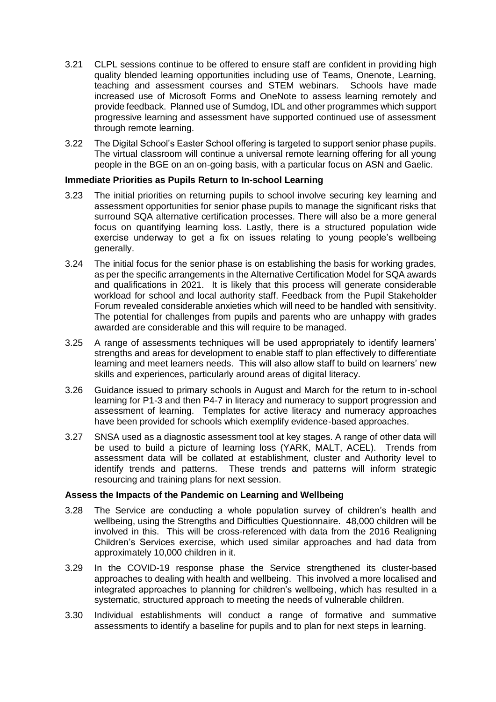- 3.21 CLPL sessions continue to be offered to ensure staff are confident in providing high quality blended learning opportunities including use of Teams, Onenote, Learning, teaching and assessment courses and STEM webinars. Schools have made increased use of Microsoft Forms and OneNote to assess learning remotely and provide feedback. Planned use of Sumdog, IDL and other programmes which support progressive learning and assessment have supported continued use of assessment through remote learning.
- 3.22 The Digital School's Easter School offering is targeted to support senior phase pupils. The virtual classroom will continue a universal remote learning offering for all young people in the BGE on an on-going basis, with a particular focus on ASN and Gaelic.

#### **Immediate Priorities as Pupils Return to In-school Learning**

- 3.23 The initial priorities on returning pupils to school involve securing key learning and assessment opportunities for senior phase pupils to manage the significant risks that surround SQA alternative certification processes. There will also be a more general focus on quantifying learning loss. Lastly, there is a structured population wide exercise underway to get a fix on issues relating to young people's wellbeing generally.
- 3.24 The initial focus for the senior phase is on establishing the basis for working grades, as per the specific arrangements in the Alternative Certification Model for SQA awards and qualifications in 2021. It is likely that this process will generate considerable workload for school and local authority staff. Feedback from the Pupil Stakeholder Forum revealed considerable anxieties which will need to be handled with sensitivity. The potential for challenges from pupils and parents who are unhappy with grades awarded are considerable and this will require to be managed.
- 3.25 A range of assessments techniques will be used appropriately to identify learners' strengths and areas for development to enable staff to plan effectively to differentiate learning and meet learners needs. This will also allow staff to build on learners' new skills and experiences, particularly around areas of digital literacy.
- 3.26 Guidance issued to primary schools in August and March for the return to in-school learning for P1-3 and then P4-7 in literacy and numeracy to support progression and assessment of learning. Templates for active literacy and numeracy approaches have been provided for schools which exemplify evidence-based approaches.
- 3.27 SNSA used as a diagnostic assessment tool at key stages. A range of other data will be used to build a picture of learning loss (YARK, MALT, ACEL). Trends from assessment data will be collated at establishment, cluster and Authority level to identify trends and patterns. These trends and patterns will inform strategic resourcing and training plans for next session.

#### **Assess the Impacts of the Pandemic on Learning and Wellbeing**

- 3.28 The Service are conducting a whole population survey of children's health and wellbeing, using the Strengths and Difficulties Questionnaire. 48,000 children will be involved in this. This will be cross-referenced with data from the 2016 Realigning Children's Services exercise, which used similar approaches and had data from approximately 10,000 children in it.
- 3.29 In the COVID-19 response phase the Service strengthened its cluster-based approaches to dealing with health and wellbeing. This involved a more localised and integrated approaches to planning for children's wellbeing, which has resulted in a systematic, structured approach to meeting the needs of vulnerable children.
- 3.30 Individual establishments will conduct a range of formative and summative assessments to identify a baseline for pupils and to plan for next steps in learning.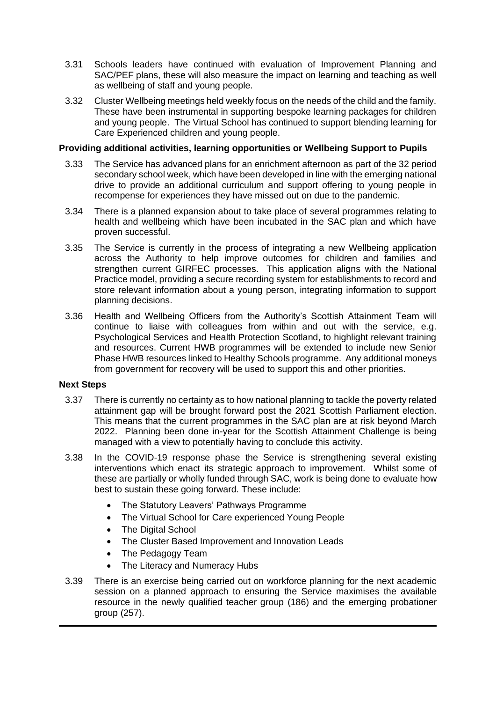- 3.31 Schools leaders have continued with evaluation of Improvement Planning and SAC/PEF plans, these will also measure the impact on learning and teaching as well as wellbeing of staff and young people.
- 3.32 Cluster Wellbeing meetings held weekly focus on the needs of the child and the family. These have been instrumental in supporting bespoke learning packages for children and young people. The Virtual School has continued to support blending learning for Care Experienced children and young people.

#### **Providing additional activities, learning opportunities or Wellbeing Support to Pupils**

- 3.33 The Service has advanced plans for an enrichment afternoon as part of the 32 period secondary school week, which have been developed in line with the emerging national drive to provide an additional curriculum and support offering to young people in recompense for experiences they have missed out on due to the pandemic.
- 3.34 There is a planned expansion about to take place of several programmes relating to health and wellbeing which have been incubated in the SAC plan and which have proven successful.
- 3.35 The Service is currently in the process of integrating a new Wellbeing application across the Authority to help improve outcomes for children and families and strengthen current GIRFEC processes. This application aligns with the National Practice model, providing a secure recording system for establishments to record and store relevant information about a young person, integrating information to support planning decisions.
- 3.36 Health and Wellbeing Officers from the Authority's Scottish Attainment Team will continue to liaise with colleagues from within and out with the service, e.g. Psychological Services and Health Protection Scotland, to highlight relevant training and resources. Current HWB programmes will be extended to include new Senior Phase HWB resources linked to Healthy Schools programme. Any additional moneys from government for recovery will be used to support this and other priorities.

#### **Next Steps**

- 3.37 There is currently no certainty as to how national planning to tackle the poverty related attainment gap will be brought forward post the 2021 Scottish Parliament election. This means that the current programmes in the SAC plan are at risk beyond March 2022. Planning been done in-year for the Scottish Attainment Challenge is being managed with a view to potentially having to conclude this activity.
- 3.38 In the COVID-19 response phase the Service is strengthening several existing interventions which enact its strategic approach to improvement. Whilst some of these are partially or wholly funded through SAC, work is being done to evaluate how best to sustain these going forward. These include:
	- The Statutory Leavers' Pathways Programme
	- The Virtual School for Care experienced Young People
	- The Digital School
	- The Cluster Based Improvement and Innovation Leads
	- The Pedagogy Team
	- The Literacy and Numeracy Hubs
- 3.39 There is an exercise being carried out on workforce planning for the next academic session on a planned approach to ensuring the Service maximises the available resource in the newly qualified teacher group (186) and the emerging probationer group (257).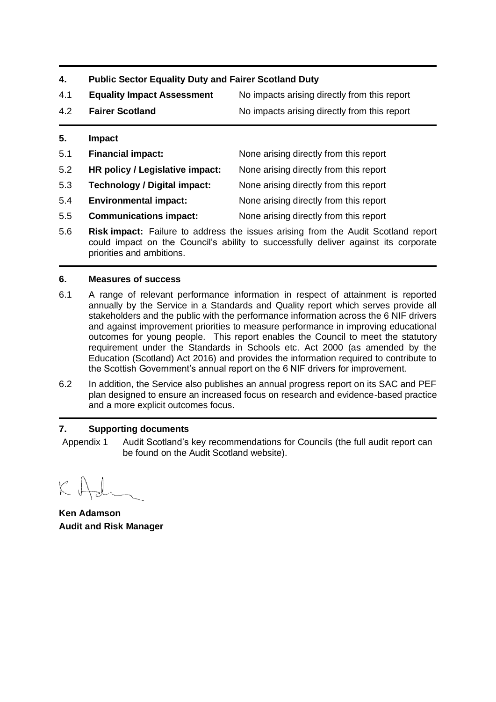- **4. Public Sector Equality Duty and Fairer Scotland Duty**
- 4.1 **Equality Impact Assessment** No impacts arising directly from this report 4.2 **Fairer Scotland** No impacts arising directly from this report **5. Impact** 5.1 **Financial impact:** None arising directly from this report
- 5.2 **HR policy / Legislative impact:** None arising directly from this report
- 5.3 **Technology / Digital impact:** None arising directly from this report
- 5.4 **Environmental impact:** None arising directly from this report
- 5.5 **Communications impact:** None arising directly from this report
- 5.6 **Risk impact:** Failure to address the issues arising from the Audit Scotland report could impact on the Council's ability to successfully deliver against its corporate priorities and ambitions.

#### **6. Measures of success**

- 6.1 A range of relevant performance information in respect of attainment is reported annually by the Service in a Standards and Quality report which serves provide all stakeholders and the public with the performance information across the 6 NIF drivers and against improvement priorities to measure performance in improving educational outcomes for young people. This report enables the Council to meet the statutory requirement under the Standards in Schools etc. Act 2000 (as amended by the Education (Scotland) Act 2016) and provides the information required to contribute to the Scottish Government's annual report on the 6 NIF drivers for improvement.
- 6.2 In addition, the Service also publishes an annual progress report on its SAC and PEF plan designed to ensure an increased focus on research and evidence-based practice and a more explicit outcomes focus.

#### **7. Supporting documents**

Appendix 1 Audit Scotland's key recommendations for Councils (the full audit report can be found on the Audit Scotland website).

**Ken Adamson Audit and Risk Manager**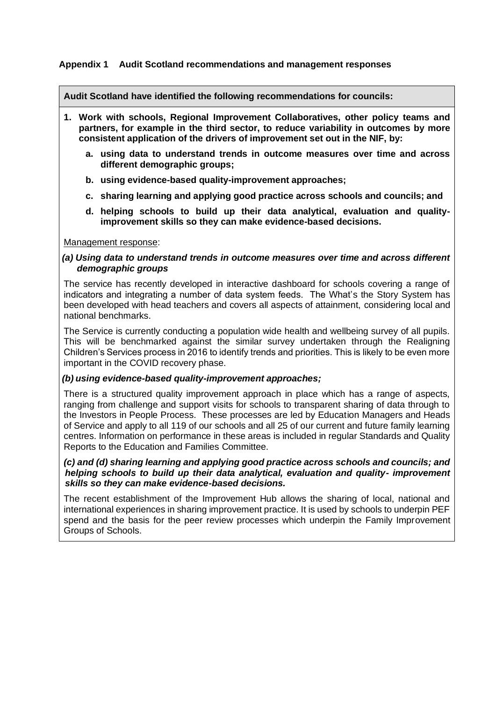#### **Appendix 1 Audit Scotland recommendations and management responses**

#### **Audit Scotland have identified the following recommendations for councils:**

- **1. Work with schools, Regional Improvement Collaboratives, other policy teams and partners, for example in the third sector, to reduce variability in outcomes by more consistent application of the drivers of improvement set out in the NIF, by:**
	- **a. using data to understand trends in outcome measures over time and across different demographic groups;**
	- **b. using evidence-based quality-improvement approaches;**
	- **c. sharing learning and applying good practice across schools and councils; and**
	- **d. helping schools to build up their data analytical, evaluation and qualityimprovement skills so they can make evidence-based decisions.**

#### Management response:

#### *(a) Using data to understand trends in outcome measures over time and across different demographic groups*

The service has recently developed in interactive dashboard for schools covering a range of indicators and integrating a number of data system feeds. The What's the Story System has been developed with head teachers and covers all aspects of attainment, considering local and national benchmarks.

The Service is currently conducting a population wide health and wellbeing survey of all pupils. This will be benchmarked against the similar survey undertaken through the Realigning Children's Services process in 2016 to identify trends and priorities. This is likely to be even more important in the COVID recovery phase.

#### *(b) using evidence-based quality-improvement approaches;*

There is a structured quality improvement approach in place which has a range of aspects, ranging from challenge and support visits for schools to transparent sharing of data through to the Investors in People Process. These processes are led by Education Managers and Heads of Service and apply to all 119 of our schools and all 25 of our current and future family learning centres. Information on performance in these areas is included in regular Standards and Quality Reports to the Education and Families Committee.

#### *(c) and (d) sharing learning and applying good practice across schools and councils; and helping schools to build up their data analytical, evaluation and quality- improvement skills so they can make evidence-based decisions.*

The recent establishment of the Improvement Hub allows the sharing of local, national and international experiences in sharing improvement practice. It is used by schools to underpin PEF spend and the basis for the peer review processes which underpin the Family Improvement Groups of Schools.